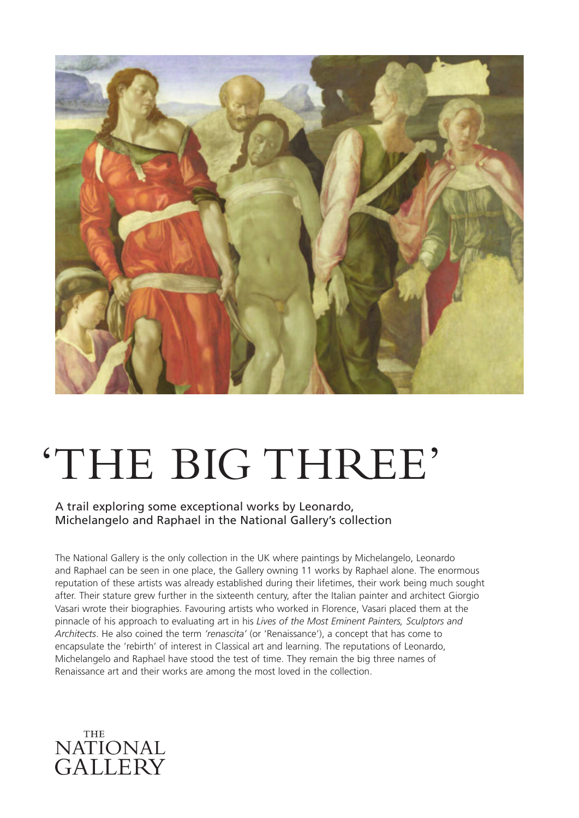

# 'THE BIG THREE'

A trail exploring some exceptional works by Leonardo, Michelangelo and Raphael in the National Gallery's collection

The National Gallery is the only collection in the UK where paintings by Michelangelo, Leonardo and Raphael can be seen in one place, the Gallery owning 11 works by Raphael alone. The enormous reputation of these artists was already established during their lifetimes, their work being much sought after. Their stature grew further in the sixteenth century, after the Italian painter and architect Giorgio Vasari wrote their biographies. Favouring artists who worked in Florence, Vasari placed them at the pinnacle of his approach to evaluating art in his *Lives of the Most Eminent Painters, Sculptors and Architects*. He also coined the term *'renascita'* (or 'Renaissance'), a concept that has come to encapsulate the 'rebirth' of interest in Classical art and learning. The reputations of Leonardo, Michelangelo and Raphael have stood the test of time. They remain the big three names of Renaissance art and their works are among the most loved in the collection.

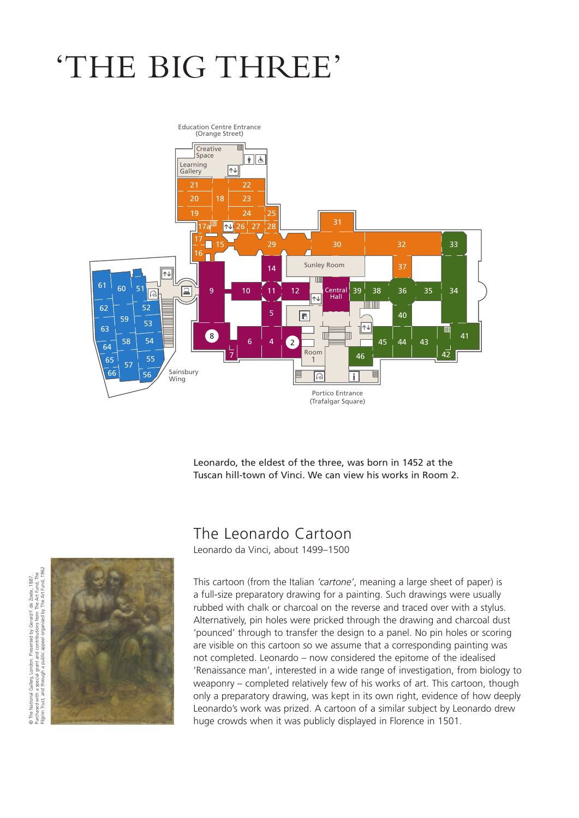## 'THE BIG THREE'



Leonardo, the eldest of the three, was born in 1452 at the Tuscan hill-town of Vinci. We can view his works in Room 2.

#### The Leonardo Cartoon

Leonardo da Vinci, about 1499–1500

This cartoon (from the Italian *'cartone'*, meaning a large sheet of paper) is a full-size preparatory drawing for a painting. Such drawings were usually rubbed with chalk or charcoal on the reverse and traced over with a stylus. Alternatively, pin holes were pricked through the drawing and charcoal dust 'pounced' through to transfer the design to a panel. No pin holes or scoring are visible on this cartoon so we assume that a corresponding painting was not completed. Leonardo – now considered the epitome of the idealised 'Renaissance man', interested in a wide range of investigation, from biology to weaponry – completed relatively few of his works of art. This cartoon, though only a preparatory drawing, was kept in its own right, evidence of how deeply Leonardo's work was prized. A cartoon of a similar subject by Leonardo drew huge crowds when it was publicly displayed in Florence in 1501.

©

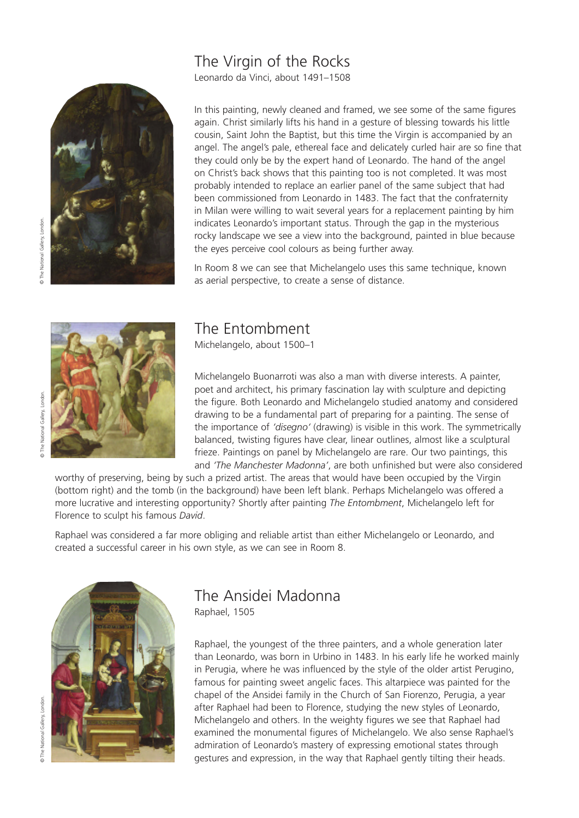#### The Virgin of the Rocks

Leonardo da Vinci, about 1491–1508



In this painting, newly cleaned and framed, we see some of the same figures again. Christ similarly lifts his hand in a gesture of blessing towards his little cousin, Saint John the Baptist, but this time the Virgin is accompanied by an angel. The angel's pale, ethereal face and delicately curled hair are so fine that they could only be by the expert hand of Leonardo. The hand of the angel on Christ's back shows that this painting too is not completed. It was most probably intended to replace an earlier panel of the same subject that had been commissioned from Leonardo in 1483. The fact that the confraternity in Milan were willing to wait several years for a replacement painting by him indicates Leonardo's important status. Through the gap in the mysterious rocky landscape we see a view into the background, painted in blue because the eyes perceive cool colours as being further away.

In Room 8 we can see that Michelangelo uses this same technique, known as aerial perspective, to create a sense of distance.



#### The Entombment

Michelangelo, about 1500–1

Michelangelo Buonarroti was also a man with diverse interests. A painter, poet and architect, his primary fascination lay with sculpture and depicting the figure. Both Leonardo and Michelangelo studied anatomy and considered drawing to be a fundamental part of preparing for a painting. The sense of the importance of *'disegno'* (drawing) is visible in this work. The symmetrically balanced, twisting figures have clear, linear outlines, almost like a sculptural frieze. Paintings on panel by Michelangelo are rare. Our two paintings, this and *'The Manchester Madonna'*, are both unfinished but were also considered

worthy of preserving, being by such a prized artist. The areas that would have been occupied by the Virgin (bottom right) and the tomb (in the background) have been left blank. Perhaps Michelangelo was offered a more lucrative and interesting opportunity? Shortly after painting *The Entombment*, Michelangelo left for Florence to sculpt his famous *David*.

Raphael was considered a far more obliging and reliable artist than either Michelangelo or Leonardo, and created a successful career in his own style, as we can see in Room 8.



### The Ansidei Madonna

Raphael, 1505

Raphael, the youngest of the three painters, and a whole generation later than Leonardo, was born in Urbino in 1483. In his early life he worked mainly in Perugia, where he was influenced by the style of the older artist Perugino, famous for painting sweet angelic faces. This altarpiece was painted for the chapel of the Ansidei family in the Church of San Fiorenzo, Perugia, a year after Raphael had been to Florence, studying the new styles of Leonardo, Michelangelo and others. In the weighty figures we see that Raphael had examined the monumental figures of Michelangelo. We also sense Raphael's admiration of Leonardo's mastery of expressing emotional states through gestures and expression, in the way that Raphael gently tilting their heads.